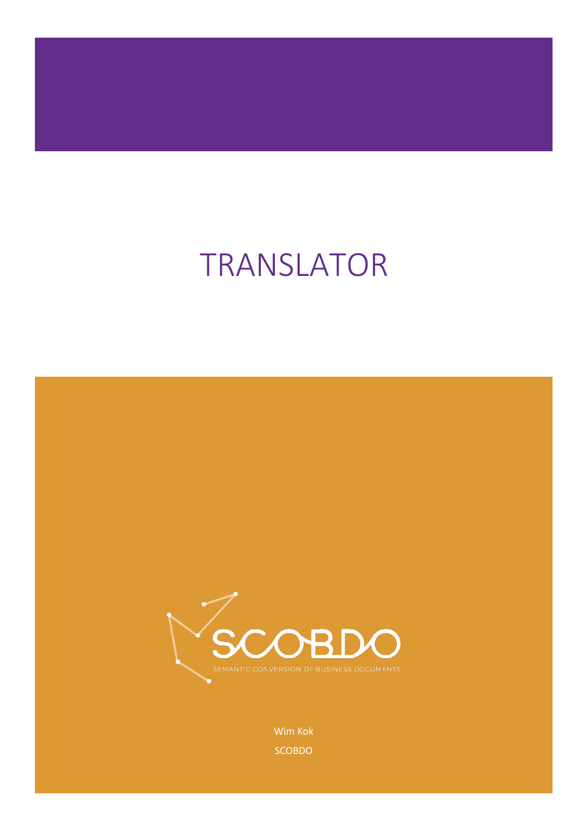# TRANSLATOR



Wim Kok SCOBDO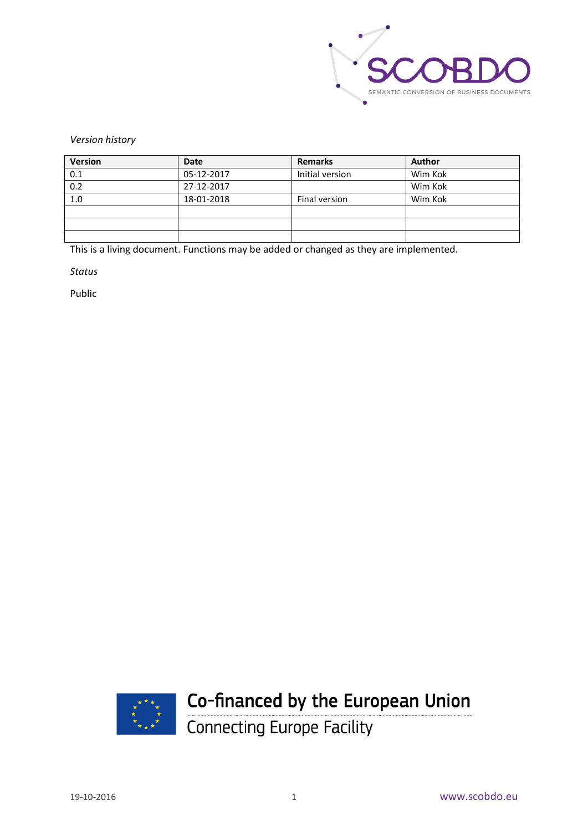

*Version history*

| Version | Date       | <b>Remarks</b>  | <b>Author</b> |
|---------|------------|-----------------|---------------|
| 0.1     | 05-12-2017 | Initial version | Wim Kok       |
| 0.2     | 27-12-2017 |                 | Wim Kok       |
| 1.0     | 18-01-2018 | Final version   | Wim Kok       |
|         |            |                 |               |
|         |            |                 |               |
|         |            |                 |               |

This is a living document. Functions may be added or changed as they are implemented.

*Status*

Public



## Co-financed by the European Union

Connecting Europe Facility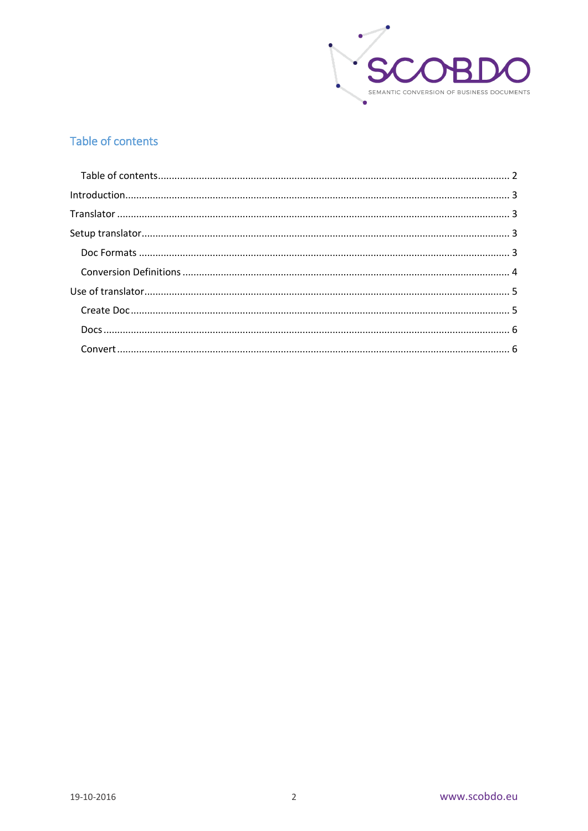

#### <span id="page-2-0"></span>Table of contents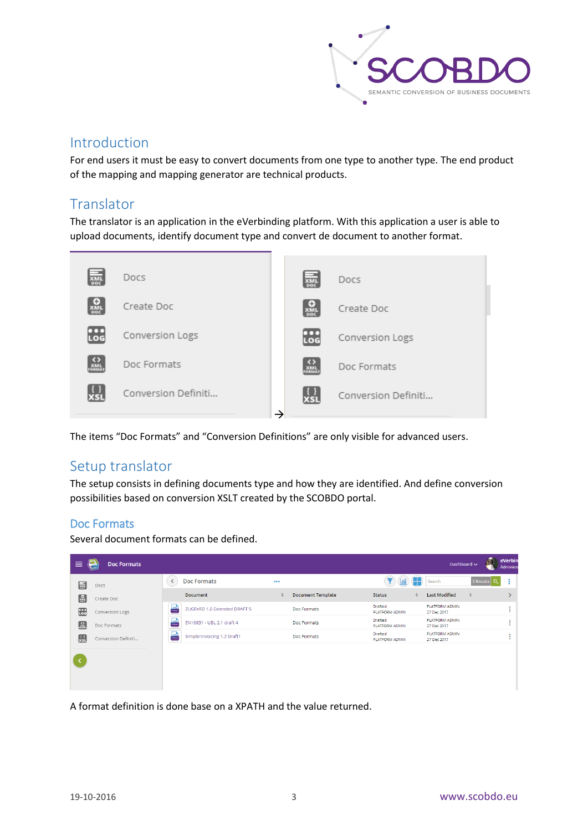

#### <span id="page-3-0"></span>Introduction

For end users it must be easy to convert documents from one type to another type. The end product of the mapping and mapping generator are technical products.

#### <span id="page-3-1"></span>Translator

The translator is an application in the eVerbinding platform. With this application a user is able to upload documents, identify document type and convert de document to another format.



The items "Doc Formats" and "Conversion Definitions" are only visible for advanced users.

#### <span id="page-3-2"></span>Setup translator

The setup consists in defining documents type and how they are identified. And define conversion possibilities based on conversion XSLT created by the SCOBDO portal.

#### <span id="page-3-3"></span>Doc Formats

Several document formats can be defined.

| <b>Doc Formats</b>           |                                                        |                          |                           |              |                                      |           |                  |
|------------------------------|--------------------------------------------------------|--------------------------|---------------------------|--------------|--------------------------------------|-----------|------------------|
|                              | 000                                                    |                          |                           | H            | Search                               | 3 Results | $\bullet$<br>÷   |
| <b>Document</b>              | $\div$                                                 | <b>Document Template</b> | <b>Status</b>             | $\triangleq$ | <b>Last Modified</b>                 | $\hat{=}$ |                  |
| ZUGFeRD 1.0 Extended DRAFT 5 |                                                        | Doc Formats              | Drafted<br>PLATFORM ADMIN |              | <b>PLATFORM ADMIN</b><br>27 Dec 2017 |           | $\sim$<br>٠<br>۰ |
| EN16931 - UBL 2.1 draft 4    |                                                        | Doc Formats              | Drafted<br>PLATFORM ADMIN |              | PLATFORM ADMIN<br>27 Dec 2017        |           | ÷                |
| Simplerinvoicing 1.2 Draft1  |                                                        | Doc Formats              | Drafted<br>PLATFORM ADMIN |              | <b>PLATFORM ADMIN</b><br>27 Dec 2017 |           | ٠<br>٠           |
|                              |                                                        |                          |                           |              |                                      |           |                  |
|                              |                                                        |                          |                           |              |                                      |           |                  |
|                              |                                                        |                          |                           |              |                                      |           |                  |
|                              | $\frac{1}{2}$<br>$\frac{1}{\sqrt{2}}$<br>$\frac{1}{2}$ |                          |                           |              |                                      |           |                  |

A format definition is done base on a XPATH and the value returned.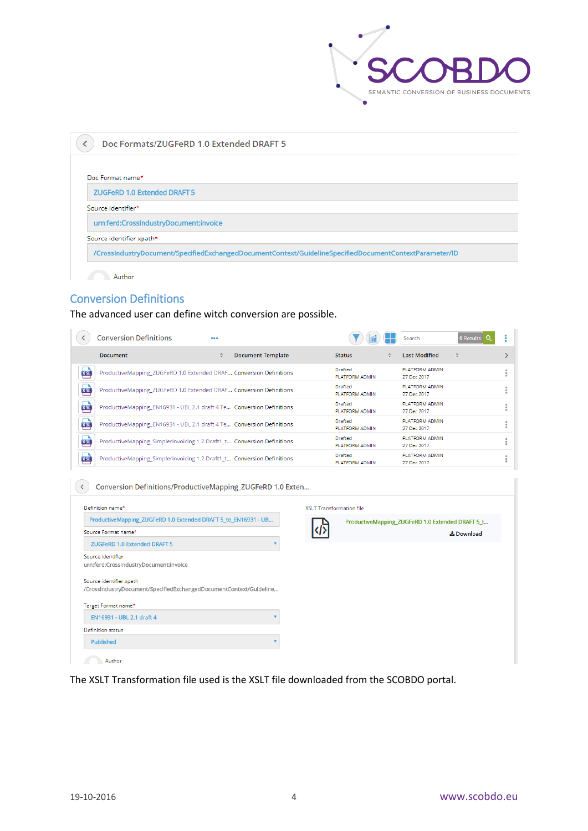

| Doc Formats/ZUGFeRD 1.0 Extended DRAFT 5                                                               |
|--------------------------------------------------------------------------------------------------------|
|                                                                                                        |
| Doc Format name*                                                                                       |
| <b>ZUGFeRD 1.0 Extended DRAFT 5</b>                                                                    |
| Source identifier*                                                                                     |
| urn:ferd:CrossIndustryDocument:invoice                                                                 |
| Source identifier xpath*                                                                               |
| /CrossIndustryDocument/SpecifiedExchangedDocumentContext/GuidelineSpecifiedDocumentContextParameter/ID |

#### <span id="page-4-0"></span>Conversion Definitions

The advanced user can define witch conversion are possible.

|            | <b>Conversion Definitions</b>                                          | 0.001 |                          |                                  | Search                               | 6 Results<br>Q |  |
|------------|------------------------------------------------------------------------|-------|--------------------------|----------------------------------|--------------------------------------|----------------|--|
|            | <b>Document</b>                                                        | ÷     | <b>Document Template</b> | <b>Status</b>                    | <b>Last Modified</b>                 |                |  |
| 四          | ProductiveMapping_ZUGFeRD 1.0 Extended DRAF Conversion Definitions     |       |                          | Drafted<br>PLATFORM ADMIN        | <b>PLATFORM ADMIN</b><br>27 Dec 2017 |                |  |
| <b>XSL</b> | ProductiveMapping_ZUGFeRD 1.0 Extended DRAF Conversion Definitions     |       |                          | Drafted<br><b>PLATFORM ADMIN</b> | <b>PLATFORM ADMIN</b><br>27 Dec 2017 |                |  |
| <b>XSL</b> | ProductiveMapping EN16931 - UBL 2.1 draft 4 Te Conversion Definitions  |       |                          | Drafted<br><b>PLATFORM ADMIN</b> | <b>PLATFORM ADMIN</b><br>27 Dec 2017 |                |  |
| 四          | ProductiveMapping_EN16931 - UBL 2.1 draft 4 Te Conversion Definitions  |       |                          | Drafted<br><b>PLATFORM ADMIN</b> | PLATFORM ADMIN<br>27 Dec 2017        |                |  |
| <b>KEL</b> | ProductiveMapping_Simplerinvoicing 1.2 Draft1_t Conversion Definitions |       |                          | Drafted<br>PLATFORM ADMIN        | <b>PLATFORM ADMIN</b><br>27 Dec 2017 |                |  |
| 四          | ProductiveMapping_Simplerinvoicing 1.2 Draft1_t Conversion Definitions |       |                          | Drafted<br>PLATFORM ADMIN        | <b>PLATFORM ADMIN</b><br>27 Dec 2017 |                |  |
|            | Conversion Definitions/ProductiveMapping ZUGFeRD 1.0 Exten             |       |                          |                                  |                                      |                |  |

| ProductiveMapping_ZUGFeRD 1.0 Extended DRAFT 5_to_EN16931 - UB                                |     | ProductiveMapping_ZUGFeRD 1.0 Extended DRAFT 5_t |
|-----------------------------------------------------------------------------------------------|-----|--------------------------------------------------|
| Source Format name*                                                                           | ৻৷১ | & Download                                       |
| <b>ZUGFeRD 1.0 Extended DRAFT 5</b>                                                           |     |                                                  |
| Source identifier<br>urn:ferd:CrossIndustryDocument:invoice                                   |     |                                                  |
|                                                                                               |     |                                                  |
| Source identifier xpath<br>/CrossIndustryDocument/SpecifiedExchangedDocumentContext/Guideline |     |                                                  |
| Target Format name*                                                                           |     |                                                  |
| EN16931 - UBL 2.1 draft 4                                                                     |     |                                                  |
| Definition status                                                                             |     |                                                  |

The XSLT Transformation file used is the XSLT file downloaded from the SCOBDO portal.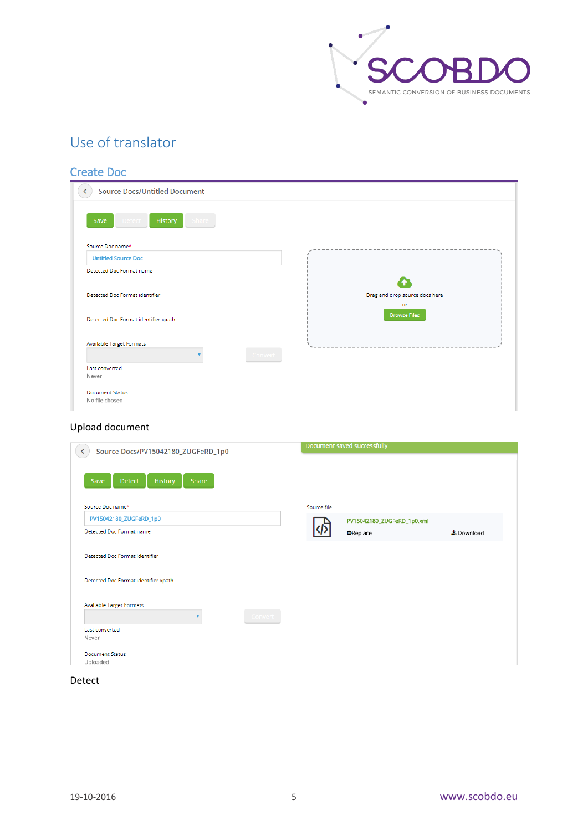

### <span id="page-5-0"></span>Use of translator

#### <span id="page-5-1"></span>Create Doc

| <b>Source Docs/Untitled Document</b>        |                                |
|---------------------------------------------|--------------------------------|
| History<br>Save<br><b>Detect</b><br>Share : |                                |
| Source Doc name*                            |                                |
| <b>Untitled Source Doc</b>                  |                                |
| Detected Doc Format name                    |                                |
|                                             |                                |
| Detected Doc Format identifier              | Drag and drop source docs here |
|                                             | or                             |
| Detected Doc Format identifier xpath        | <b>Browse Files</b>            |
|                                             |                                |
| <b>Available Target Formats</b>             |                                |
| Convert                                     |                                |
| Last converted                              |                                |
| Never                                       |                                |
| <b>Document Status</b>                      |                                |
| No file chosen                              |                                |

#### Upload document

| Source Docs/PV15042180_ZUGFeRD_1p0               |             | Document saved successfully |            |
|--------------------------------------------------|-------------|-----------------------------|------------|
| <b>History</b><br>Share<br>Save<br><b>Detect</b> |             |                             |            |
| Source Doc name*                                 | Source file |                             |            |
| PV15042180_ZUGFeRD_1p0                           |             | PV15042180_ZUGFeRD_1p0.xml  |            |
| Detected Doc Format name                         |             | <b>O</b> Replace            | & Download |
| Detected Doc Format identifier xpath             |             |                             |            |
| Available Target Formats<br>v<br>Convert         |             |                             |            |
| Last converted                                   |             |                             |            |
| Never                                            |             |                             |            |
| <b>Document Status</b>                           |             |                             |            |
| Uploaded                                         |             |                             |            |

#### Detect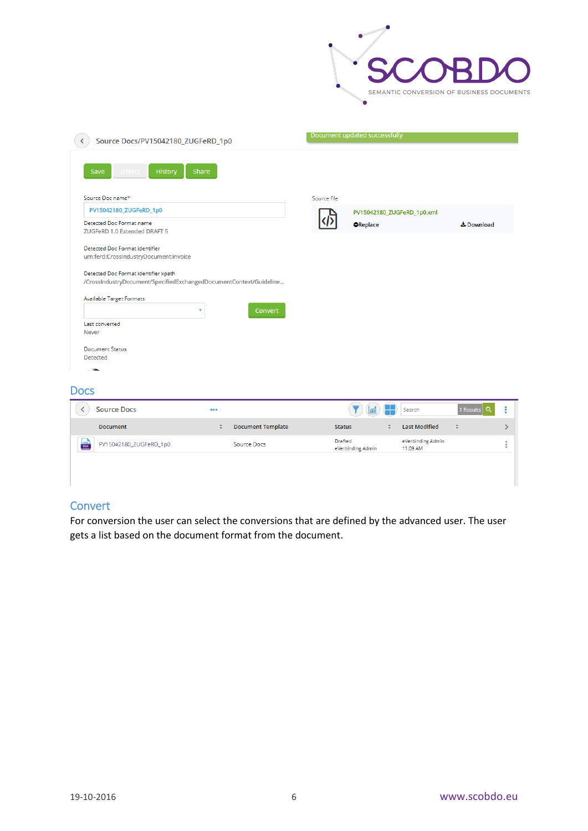

| Source Docs/PV15042180_ZUGFeRD_1p0                                                                         | Document updated successfully                                      |
|------------------------------------------------------------------------------------------------------------|--------------------------------------------------------------------|
| Save<br><b>History</b><br>Share                                                                            |                                                                    |
| Source Doc name*                                                                                           | Source file                                                        |
| PV15042180_ZUGFeRD_1p0                                                                                     | PV15042180_ZUGFeRD_1p0.xml                                         |
| Detected Doc Format name<br>ZUGFeRD 1.0 Extended DRAFT 5                                                   | <b>O</b> Replace<br>& Download                                     |
| Detected Doc Format identifier<br>urn:ferd:CrossIndustryDocument:invoice                                   |                                                                    |
| Detected Doc Format identifier xpath<br>/CrossIndustryDocument/SpecifiedExchangedDocumentContext/Guideline |                                                                    |
| <b>Available Target Formats</b><br>v<br>Convert                                                            |                                                                    |
| Last converted<br>Never                                                                                    |                                                                    |
| <b>Document Status</b><br>Detected                                                                         |                                                                    |
| <b>Docs</b>                                                                                                |                                                                    |
| <b>Source Docs</b><br>K<br>000                                                                             | 1 Results<br>i<br>Search<br>a                                      |
| <b>Document Template</b><br>$\div$<br><b>Document</b>                                                      | <b>Last Modified</b><br><b>Status</b><br>$\Rightarrow$<br>ê<br>ゝ   |
| $rac{1}{1000}$<br>PV15042180_ZUGFeRD_1p0<br>Source Docs                                                    | Drafted<br>eVerbinding Admin<br>i<br>eVerbinding Admin<br>11:09 AM |
|                                                                                                            |                                                                    |
|                                                                                                            |                                                                    |

#### <span id="page-6-1"></span><span id="page-6-0"></span>**Convert**

For conversion the user can select the conversions that are defined by the advanced user. The user gets a list based on the document format from the document.